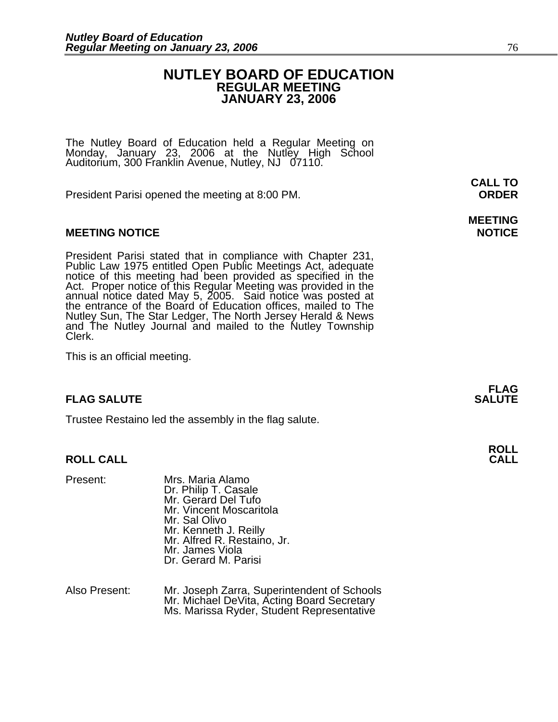#### **NUTLEY BOARD OF EDUCATION REGULAR MEETING JANUARY 23, 2006**

The Nutley Board of Education held a Regular Meeting on Monday, January 23, 2006 at the Nutley High School Auditorium, 300 Franklin Avenue, Nutley, NJ 07110.

President Parisi opened the meeting at 8:00 PM. **ORDER**

#### **MEETING NOTICE NOTICE AND RESERVE ASSESS**

President Parisi stated that in compliance with Chapter 231, Public Law 1975 entitled Open Public Meetings Act, adequate notice of this meeting had been provided as specified in the Act. Proper notice of this Regular Meeti annual notice dated May 5, 2005. Said notice was posted at the entrance of the Board of Education offices, mailed to The Nutley Sun, The Star Ledger, The North Jersey Herald & News and The Nutley Journal and mailed to the Nutley Township Clerk.

This is an official meeting.

#### **FLAG SALUTE SALUTE SALUTE SALUTE**

Trustee Restaino led the assembly in the flag salute.

#### **ROLL CALL**

| Present: | Mrs. Maria Alamo<br>Dr. Philip T. Casale<br>Mr. Gerard Del Tufo<br>Mr. Vincent Moscaritola<br>Mr. Sal Olivo<br>Mr. Kenneth J. Reilly<br>Mr. Alfred R. Restaino, Jr.<br>Mr. James Viola<br>Dr. Gerard M. Parisi |
|----------|----------------------------------------------------------------------------------------------------------------------------------------------------------------------------------------------------------------|
|          |                                                                                                                                                                                                                |

Also Present: Mr. Joseph Zarra, Superintendent of Schools<br>Mr. Michael DeVita, Acting Board Secretary<br>Ms. Marissa Ryder, Student Representative

**CALL TO** 

## **MEETING**

**FLAG** 

**ROLL**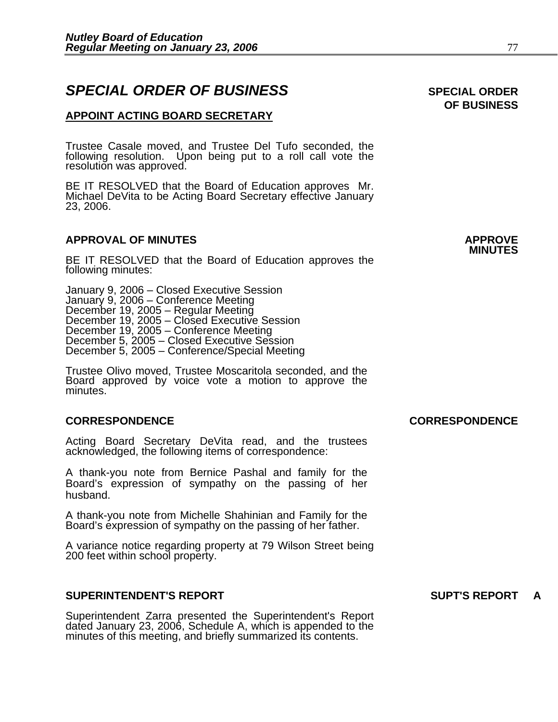### **SPECIAL ORDER OF BUSINESS** SPECIAL ORDER

#### **APPOINT ACTING BOARD SECRETARY**

Trustee Casale moved, and Trustee Del Tufo seconded, the following resolution. Upon being put to a roll call vote the resolution was approved.

BE IT RESOLVED that the Board of Education approves Mr. Michael DeVita to be Acting Board Secretary effective January 23, 2006.

### **APPROVAL OF MINUTES APPROVE**

BE IT RESOLVED that the Board of Education approves the following minutes:

 January 9, 2006 – Closed Executive Session January 9, 2006 – Conference Meeting December 19, 2005 – Regular Meeting December 19, 2005 - Closed Executive Session December 19, 2005 – Conference Meeting December 5, 2005 – Closed Executive Session December 5, 2005 – Conference/Special Meeting

> Trustee Olivo moved, Trustee Moscaritola seconded, and the Board approved by voice vote a motion to approve the minutes.

#### **CORRESPONDENCE CORRESPONDENCE**

Acting Board Secretary DeVita read, and the trustees acknowledged, the following items of correspondence:

A thank-you note from Bernice Pashal and family for the Board's expression of sympathy on the passing of her husband.

A thank-you note from Michelle Shahinian and Family for the Board's expression of sympathy on the passing of her father.

A variance notice regarding property at 79 Wilson Street being 200 feet within school property.

#### **SUPERINTENDENT'S REPORT SUPT'S REPORT A**

Superintendent Zarra presented the Superintendent's Report dated January 23, 2006, Schedule A, which is appended to the minutes of this meeting, and briefly summarized its contents.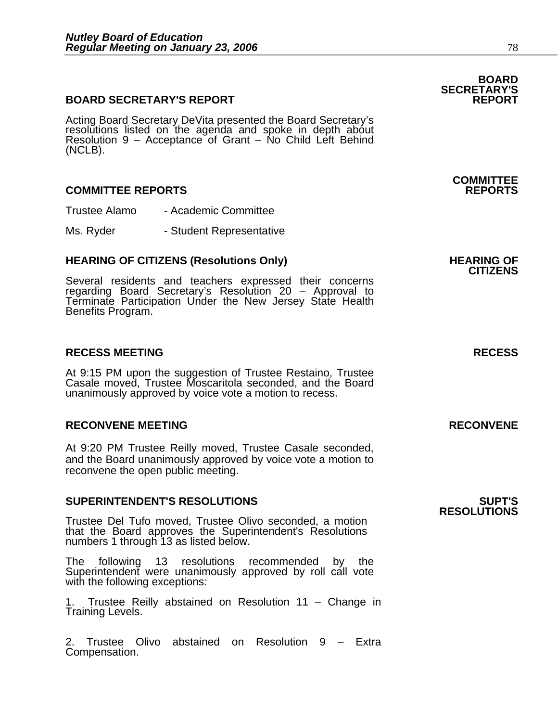#### **BOARD SECRETARY'S REPORT**

Acting Board Secretary DeVita presented the Board Secretary's resolutions listed on the agenda and spoke in depth about Resolution 9 – Acceptance of Grant – No Child Left Behind (NCLB).

#### **COMMITTEE REPORTS REPORTS**

Trustee Alamo - Academic Committee

Ms. Ryder - Student Representative

### **HEARING OF CITIZENS (Resolutions Only) HEARING OF CITIZENS**

Several residents and teachers expressed their concerns regarding Board Secretary's Resolution 20 - Approval to Terminate Participation Under the New Jersey State Health<br>Benefits Program.

#### **RECESS MEETING RECESS**

At 9:15 PM upon the suggestion of Trustee Restaino, Trustee Casale moved, Trustee Moscaritola seconded, and the Board unanimously approved by voice vote a motion to recess.

#### **RECONVENE MEETING RECONVENE**

At 9:20 PM Trustee Reilly moved, Trustee Casale seconded, and the Board unanimously approved by voice vote a motion to reconvene the open public meeting.

#### **SUPERINTENDENT'S RESOLUTIONS SUPT'S**

Trustee Del Tufo moved, Trustee Olivo seconded, a motion that the Board approves the Superintendent's Resolutions numbers 1 through 13 as listed below.

The following 13 resolutions recommended by the Superintendent were unanimously approved by roll call vote with the following exceptions:

1. Trustee Reilly abstained on Resolution 11 – Change in Training Levels.

2. Trustee Olivo abstained on Resolution 9 – Extra Compensation.

### **BOARD SECRETARY'S**

# **COMMITTEE**

## **RESOLUTIONS**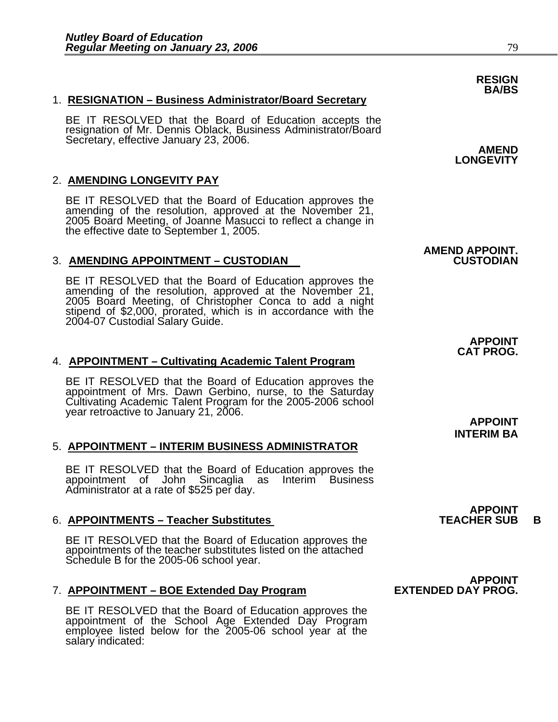#### 1. **RESIGNATION – Business Administrator/Board Secretary**

BE IT RESOLVED that the Board of Education accepts the resignation of Mr. Dennis Oblack, Business Administrator/Board Secretary, effective January 23, 2006. **AMEND AMEND** 

#### 2. **AMENDING LONGEVITY PAY**

BE IT RESOLVED that the Board of Education approves the amending of the resolution, approved at the November 21, 2005 Board Meeting, of Joanne Masucci to reflect a change in the effective date to September 1, 2005.

#### 3. **AMENDING APPOINTMENT – CUSTODIAN CUSTODIAN**

BE IT RESOLVED that the Board of Education approves the amending of the resolution, approved at the November 21, 2005 Board Meeting, of Christopher Conca to add a night 2005 Board Meeting, of Christopher Conca to add a night<br>stipend of \$2,000, prorated, which is in accordance with the 2004-07 Custodial Salary Guide.

### **APPOINT CAT PROG.**  4. **APPOINTMENT – Cultivating Academic Talent Program**

BE IT RESOLVED that the Board of Education approves the appointment of Mrs. Dawn Gerbino, nurse, to the Saturday Cultivating Academic Talent Program for the 2005-2006 school year retroactive to January 21, 2006.

#### 5. **APPOINTMENT – INTERIM BUSINESS ADMINISTRATOR**

BE IT RESOLVED that the Board of Education approves the appointment of John Sincaglia as Interim Business Administrator at a rate of \$525 per day.

#### 6. **APPOINTMENTS – Teacher Substitutes TEACHER SUB B**

BE IT RESOLVED that the Board of Education approves the appointments of the teacher substitutes listed on the attached Schedule B for the 2005-06 school year.

#### **7. APPOINTMENT – BOE Extended Day Program**

BE IT RESOLVED that the Board of Education approves the appointment of the School Age Extended Day Program employee listed below for the 2005-06 school year at the salary indicated:

**LONGEVITY** 

## **AMEND APPOINT.**

**APPOINT** 

**INTERIM BA**

**APPOINT<br>TEACHER SUB** 

**APPOINT**<br>**EXTENDED DAY PROG.** 

**RESIGN BA/BS**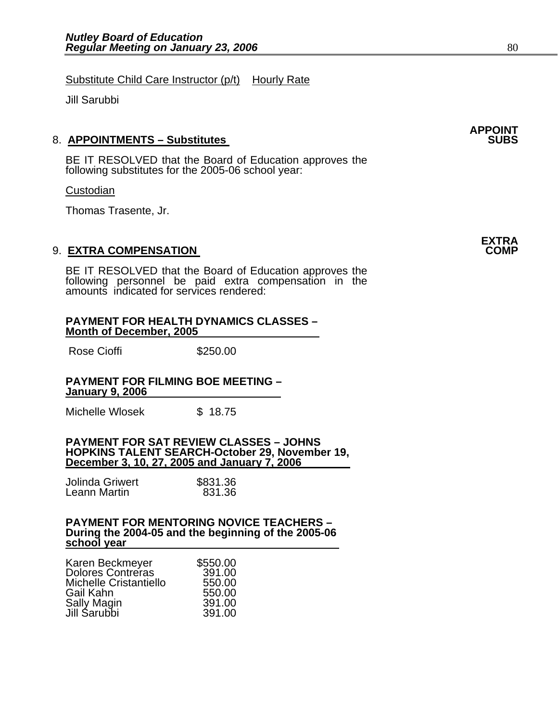Substitute Child Care Instructor (p/t) Hourly Rate

Jill Sarubbi

#### 8. **APPOINTMENTS – Substitutes**

BE IT RESOLVED that the Board of Education approves the following substitutes for the 2005-06 school year:

#### **Custodian**

Thomas Trasente, Jr.

#### 9. **EXTRA COMPENSATION**

BE IT RESOLVED that the Board of Education approves the following personnel be paid extra compensation in the amounts indicated for services rendered:

#### **PAYMENT FOR HEALTH DYNAMICS CLASSES – Month of December, 2005**

Rose Cioffi **\$250.00** 

#### **PAYMENT FOR FILMING BOE MEETING – January 9, 2006**

Michelle Wlosek  $$ 18.75$ 

#### **PAYMENT FOR SAT REVIEW CLASSES – JOHNS HOPKINS TALENT SEARCH-October 29, November 19, December 3, 10, 27, 2005 and January 7, 2006**

| Jolinda Griwert | \$831.36 |
|-----------------|----------|
| Leann Martin    | 831.36   |

### **PAYMENT FOR MENTORING NOVICE TEACHERS – During the 2004-05 and the beginning of the 2005-06 school year**

| Karen Beckmeyer          | \$550.00 |
|--------------------------|----------|
| <b>Dolores Contreras</b> | 391.00   |
| Michelle Cristantiello   | 550.00   |
| Gail Kahn                | 550.00   |
| <b>Sally Magin</b>       | 391.00   |
| Jill Sarubbi             | 391.00   |

**APPOINT** 

**EXTRA**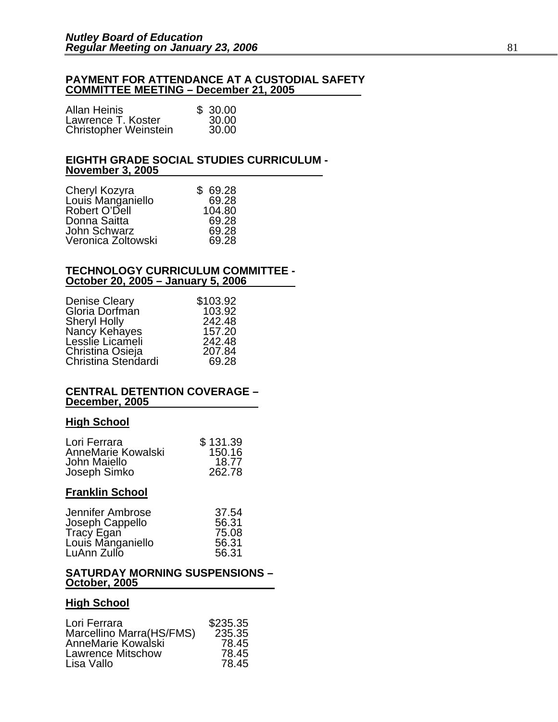#### **PAYMENT FOR ATTENDANCE AT A CUSTODIAL SAFETY COMMITTEE MEETING – December 21, 2005**

| <b>Allan Heinis</b>          | \$30.00 |
|------------------------------|---------|
| Lawrence T. Koster           | 30.00   |
| <b>Christopher Weinstein</b> | 30.00   |

#### **EIGHTH GRADE SOCIAL STUDIES CURRICULUM - November 3, 2005**

| Cheryl Kozyra<br>Louis Manganiello | \$69.28<br>69.28 |
|------------------------------------|------------------|
| Robert O'Dell                      | 104.80           |
| Donna Saitta                       | 69.28            |
| John Schwarz                       | 69.28            |
| Veronica Zoltowski                 | 69.28            |

#### **TECHNOLOGY CURRICULUM COMMITTEE - October 20, 2005 – January 5, 2006**

| <b>Denise Cleary</b> | \$103.92 |
|----------------------|----------|
| Gloria Dorfmán       | 103.92   |
| <b>Sheryl Holly</b>  | 242.48   |
| Nancy Kehayes        | 157.20   |
| Lesslie Licameli     | 242.48   |
| Christina Osieja     | 207.84   |
| Christina Stendardi  | 69.28    |

#### **CENTRAL DETENTION COVERAGE – December, 2005**

#### **High School**

| Lori Ferrara       | \$131.39 |
|--------------------|----------|
| AnneMarie Kowalski | 150.16   |
| John Maiello       | 18.77    |
| Joseph Simko       | 262.78   |

### **Franklin School**

| Jennifer Ambrose                | 37.54 |
|---------------------------------|-------|
| Joseph Cappello                 | 56.31 |
| Tracy Egan<br>Louis Manganiello | 75.08 |
|                                 | 56.31 |
| LuAnn Zullo                     | 56.31 |

#### **SATURDAY MORNING SUSPENSIONS – October, 2005**

#### **High School**

| \$235.35 |
|----------|
| 235.35   |
| 78.45    |
| 78.45    |
| 78.45    |
|          |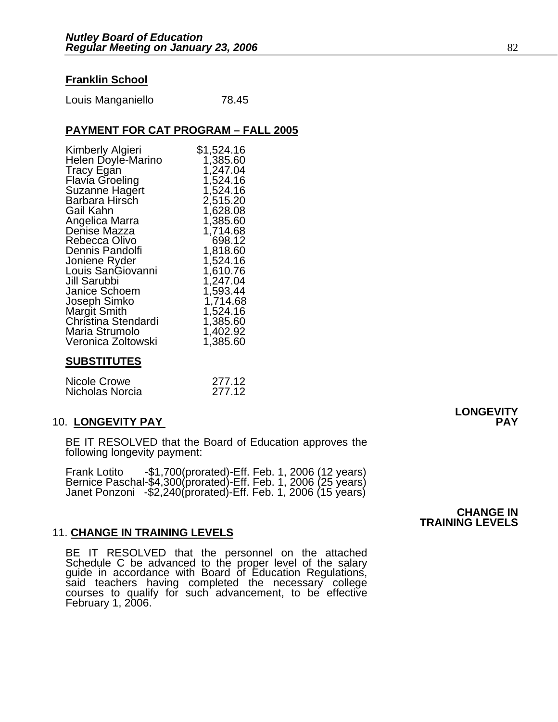#### **Franklin School**

Louis Manganiello 78.45

#### **PAYMENT FOR CAT PROGRAM – FALL 2005**

| Kimberly Algieri       | \$1,524.16 |
|------------------------|------------|
| Helen Doyle-Marino     | 1,385.60   |
| Tracy Egan             | 1,247.04   |
| <b>Flavia Groeling</b> | 1,524.16   |
| Suzanne Hagert         | 1,524.16   |
| Barbara Hirsch         | 2,515.20   |
| Gail Kahn              | 1,628.08   |
| Angelica Marra         | 1,385.60   |
| Denise Mazza           | 1,714.68   |
| Rebecca Olivo          | 698.12     |
| Dennis Pandolfi        | 1,818.60   |
| Joniene Ryder          | 1,524.16   |
| Louis SanGiovanni      | 1,610.76   |
| Jill Sarubbi           | 1,247.04   |
| Janice Schoem          | 1,593.44   |
| Joseph Simko           | 1,714.68   |
| Margit Smith           | 1,524.16   |
| Christina Stendardi    | 1,385.60   |
| Maria Strumolo         | 1,402.92   |
| Veronica Zoltowski     | 1,385.60   |

#### **SUBSTITUTES**

| Nicole Crowe    | 277.12 |
|-----------------|--------|
| Nicholas Norcia | 277.12 |

#### 10. **LONGEVITY PAY PAY**

BE IT RESOLVED that the Board of Education approves the following longevity payment:

Frank Lotito -\$1,700(prorated)-Eff. Feb. 1, 2006 (12 years)<br>Bernice Paschal-\$4,300(prorated)-Eff. Feb. 1, 2006 (25 years)<br>Janet Ponzoni -\$2,240(prorated)-Eff. Feb. 1, 2006 (15 years)

#### 11. **CHANGE IN TRAINING LEVELS**

BE IT RESOLVED that the personnel on the attached<br>Schedule C be advanced to the proper level of the salary guide in accordance with Board of Education Regulations,<br>said teachers having completed the necessary college said teachers having completed the necessary college courses to qualify for such advancement, to be effective February 1, 2006.

**CHANGE IN TRAINING LEVELS** 

**LONGEVITY**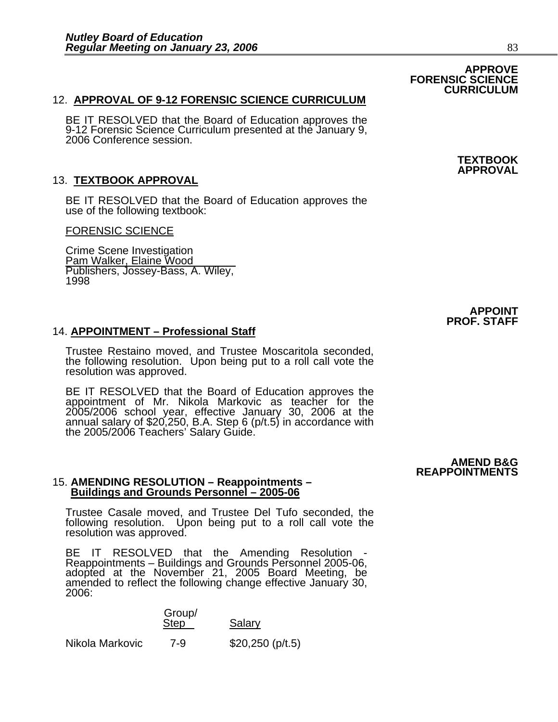#### 12. **APPROVAL OF 9-12 FORENSIC SCIENCE CURRICULUM**

BE IT RESOLVED that the Board of Education approves the 9-12 Forensic Science Curriculum presented at the January 9, 2006 Conference session.

#### 13. **TEXTBOOK APPROVAL**

BE IT RESOLVED that the Board of Education approves the use of the following textbook:

#### FORENSIC SCIENCE

Crime Scene Investigation Pam Walker, Elaine Wood Publishers, Jossey-Bass, A. Wiley, 1998

#### 14. **APPOINTMENT – Professional Staff**

Trustee Restaino moved, and Trustee Moscaritola seconded, the following resolution. Upon being put to a roll call vote the resolution was approved.

BE IT RESOLVED that the Board of Education approves the appointment of Mr. Nikola Markovic as teacher for the 2005/2006 school year, effective January 30, 2006 at the<br>annual salary of \$20,250, B.A. Step 6 (p/t.5) in accordance with the 2005/2006 Teachers' Salary Guide.

## 15. **AMENDING RESOLUTION – Reappointments – Buildings and Grounds Personnel – 2005-06**

Trustee Casale moved, and Trustee Del Tufo seconded, the following resolution. Upon being put to a roll call vote the resolution was approved.

BE IT RESOLVED that the Amending Resolution -<br>Reappointments – Buildings and Grounds Personnel 2005-06, adopted at the November 21, 2005 Board Meeting, be<br>amended to reflect the following change effective January 30, 2006:

Salary

### Group/<br>Step

Nikola Markovic 7-9 \$20,250 (p/t.5)

**TEXTBOOK APPROVAL** 

**APPOINT PROF. STAFF** 

**AMEND B&G REAPPOINTMENTS**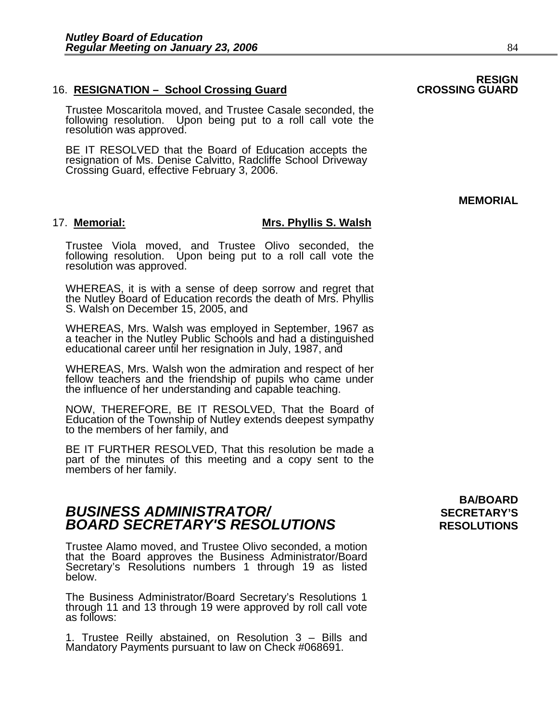#### 16. **RESIGNATION – School Crossing Guard CROSSING GUARD**

Trustee Moscaritola moved, and Trustee Casale seconded, the following resolution. Upon being put to a roll call vote the resolution was approved.

BE IT RESOLVED that the Board of Education accepts the resignation of Ms. Denise Calvitto, Radcliffe School Driveway Crossing Guard, effective February 3, 2006.

#### 17. **Memorial: Mrs. Phyllis S. Walsh**

Trustee Viola moved, and Trustee Olivo seconded, the following resolution. Upon being put to a roll call vote the resolution was approved.

WHEREAS, it is with a sense of deep sorrow and regret that the Nutley Board of Education records the death of Mrs. Phyllis S. Walsh on December 15, 2005, and

WHEREAS, Mrs. Walsh was employed in September, 1967 as a teacher in the Nutley Public Schools and had a distinguished educational career until her resignation in July, 1987, and

WHEREAS, Mrs. Walsh won the admiration and respect of her fellow teachers and the friendship of pupils who came under the influence of her understanding and capable teaching.

NOW, THEREFORE, BE IT RESOLVED, That the Board of Education of the Township of Nutley extends deepest sympathy to the members of her family, and

BE IT FURTHER RESOLVED, That this resolution be made a part of the minutes of this meeting and a copy sent to the members of her family.

### **BUSINESS ADMINISTRATOR/** *BUSINESS ADMINISTRATOR/* **BOARD SECRETARY'S RESOLUTIONS** RESOLUTIONS

Trustee Alamo moved, and Trustee Olivo seconded, a motion that the Board approves the Business Administrator/Board Secretary's Resolutions numbers 1 through 19 as listed below.

The Business Administrator/Board Secretary's Resolutions 1 through 11 and 13 through 19 were approved by roll call vote as follows:

1. Trustee Reilly abstained, on Resolution 3 – Bills and Mandatory Payments pursuant to law on Check #068691.

# **BA/BOARD**

### **RESIGN**

**MEMORIAL**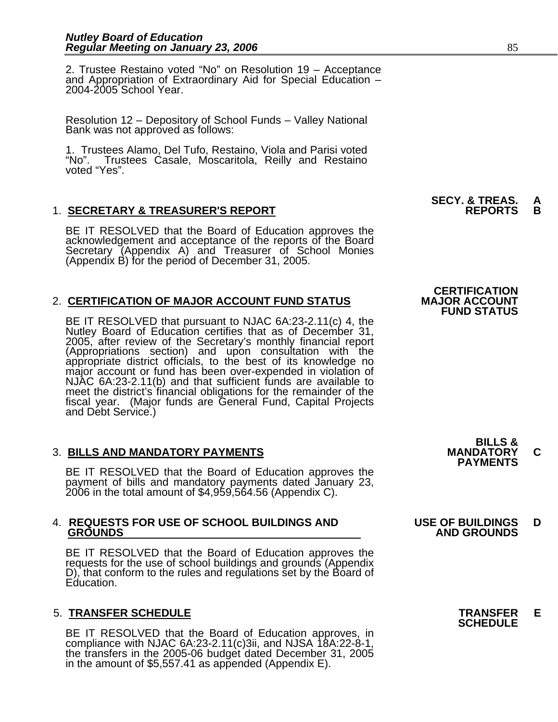2. Trustee Restaino voted "No" on Resolution 19 – Acceptance and Appropriation of Extraordinary Aid for Special Education – 2004-2005 School Year.

Resolution 12 – Depository of School Funds – Valley National Bank was not approved as follows:

1. Trustees Alamo, Del Tufo, Restaino, Viola and Parisi voted "No". Trustees Casale, Moscaritola, Reilly and Restaino voted "Yes".

#### 1. **SECRETARY & TREASURER'S REPORT REPORTS B**

BE IT RESOLVED that the Board of Education approves the acknowledgement and acceptance of the reports of the Board Secretary (Appendix A) and Treasurer of School Monies (Appendix B) for the period of December 31, 2005.

#### 2. **CERTIFICATION OF MAJOR ACCOUNT FUND STATUS**

BE IT RESOLVED that pursuant to NJAC 6A:23-2.11(c) 4, the Nutley Board of Education certifies that as of December 31, 2005, after review of the Secretary's monthly financial report (Appropriations section) and upon consultation with the appropriate district officials, to the best of its knowledge no major account or fund has been over-expended in violation of NJAC 6A:23-2.11(b) and that sufficient fu meet the district's financial obligations for the remainder of the fiscal year. (Major funds are General Fund, Capital Projects<br>and Debt Service.)

3. BILLS AND MANDATORY PAYMENTS<br>BE IT RESOLVED that the Board of Education approves the **PAYMENTS** payment of bills and mandatory payments dated January 23, 2006 in the total amount of \$4,959,564.56 (Appendix C).

## 4. **REQUESTS FOR USE OF SCHOOL BUILDINGS AND USE OF BUILDINGS D**

BE IT RESOLVED that the Board of Education approves the requests for the use of school buildings and grounds (Appendix D), that conform to the rules and regulations set by the Board of Education.

### 5. **TRANSFER SCHEDULE TRANSFER E SCHEDULE**

BE IT RESOLVED that the Board of Education approves, in compliance with NJAC 6A:23-2.11(c)3ii, and NJSA 18A:22-8-1, the transfers in the 2005-06 budget dated December 31, 2005 in the amount of \$5,557.41 as appended (Appendix E).

**SECY. & TREAS. A** 

### **CERTIFICATION<br>MAJOR ACCOUNT FUND STATUS**

**BILLS &** 

## **GROUNDS AND GROUNDS**

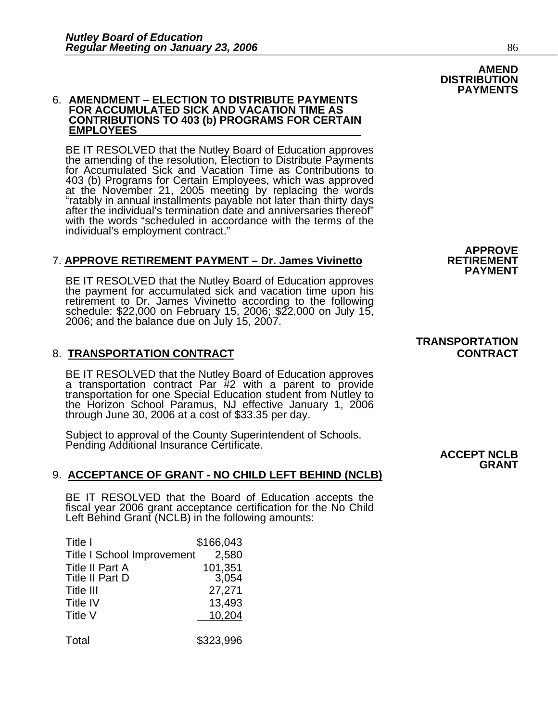### 6. **AMENDMENT – ELECTION TO DISTRIBUTE PAYMENTS FOR ACCUMULATED SICK AND VACATION TIME AS CONTRIBUTIONS TO 403 (b) PROGRAMS FOR CERTAIN EMPLOYEES**

BE IT RESOLVED that the Nutley Board of Education approves the amending of the resolution, Election to Distribute Payments for Accumulated Sick and Vacation Time as Contributions to 403 (b) Programs for Certain Employees, which was approved at the November 21, 2005 meeting by replacing the words "ratably in annual installments payable not later than thirty days after the individual's termination date and anniversaries thereof" with the words "scheduled in accordance with the terms of the individual's employment contract."

#### 7. **APPROVE RETIREMENT PAYMENT – Dr. James Vivinetto RETIREMENT**

BE IT RESOLVED that the Nutley Board of Education approves the payment for accumulated sick and vacation time upon his retirement to Dr. James Vivinetto according to the following schedule:  $$22,000$  on February 15, 2006;  $$22,000$  on July 15, 2006; and the balance due on July 15, 2007.

#### 8. **TRANSPORTATION CONTRACT CONTRACT**

BE IT RESOLVED that the Nutley Board of Education approves<br>a transportation contract Par #2 with a parent to provide<br>transportation for one Special Education student from Nutley to<br>the Horizon School Paramus, NJ effective

Subject to approval of the County Superintendent of Schools. Pending Additional Insurance Certificate.

#### 9. **ACCEPTANCE OF GRANT - NO CHILD LEFT BEHIND (NCLB)**

BE IT RESOLVED that the Board of Education accepts the fiscal year 2006 grant acceptance certification for the No Child Left Behind Grant (NCLB) in the following amounts:

| Title I                           | \$166,043 |
|-----------------------------------|-----------|
| <b>Title I School Improvement</b> | 2,580     |
| <b>Title II Part A</b>            | 101,351   |
| Title II Part D                   | 3,054     |
| Title III                         | 27,271    |
| Title IV                          | 13,493    |
| Title V                           | 10,204    |
|                                   |           |
|                                   |           |

Total \$323,996

**TRANSPORTATION** 

**APPROVE** 

**PAYMENT** 

#### **ACCEPT NCLB GRANT**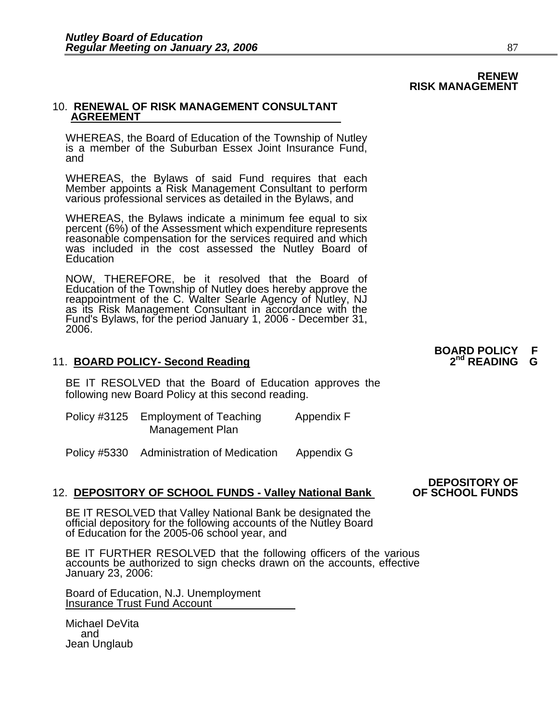## **RENEW RISK MANAGEMENT**

#### 10. **RENEWAL OF RISK MANAGEMENT CONSULTANT AGREEMENT**

WHEREAS, the Board of Education of the Township of Nutley is a member of the Suburban Essex Joint Insurance Fund, and

WHEREAS, the Bylaws of said Fund requires that each Member appoints a Risk Management Consultant to perform<br>various professional services as detailed in the Bylaws, and

WHEREAS, the Bylaws indicate a minimum fee equal to six percent (6%) of the Assessment which expenditure represents reasonable compensation for the services required and which was included in the cost assessed the Nutley Board of **Education** 

NOW, THEREFORE, be it resolved that the Board of Education of the Township of Nutley does hereby approve the reappointment of the C. Walter Searle Agency of Nutley, NJ as its Risk Management Consultant in accordance with the Fund's Bylaws, for the period January 1, 2006 - December 31, 2006.

#### 11. **BOARD POLICY- Second Reading**

BE IT RESOLVED that the Board of Education approves the following new Board Policy at this second reading.

| Policy #3125 Employment of Teaching | Appendix F |
|-------------------------------------|------------|
| Management Plan                     |            |

Policy #5330 Administration of Medication Appendix G

#### 12. **DEPOSITORY OF SCHOOL FUNDS - Valley National Bank**

BE IT RESOLVED that Valley National Bank be designated the official depository for the following accounts of the Nutley Board of Education for the 2005-06 school year, and

BE IT FURTHER RESOLVED that the following officers of the various accounts be authorized to sign checks drawn on the accounts, effective January 23, 2006:

Board of Education, N.J. Unemployment Insurance Trust Fund Account

Michael DeVita and Jean Unglaub

**BOARD POLICY F** 

**DEPOSITORY OF**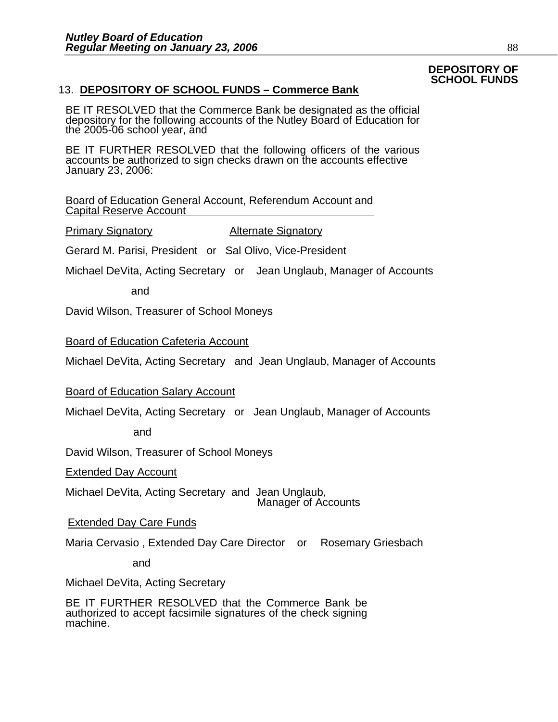### **DEPOSITORY OF SCHOOL FUNDS**

### 13. **DEPOSITORY OF SCHOOL FUNDS – Commerce Bank**

BE IT RESOLVED that the Commerce Bank be designated as the official depository for the following accounts of the Nutley Board of Education for the 2005-06 school year, and

BE IT FURTHER RESOLVED that the following officers of the various accounts be authorized to sign checks drawn on the accounts effective January 23, 2006:

Board of Education General Account, Referendum Account and Capital Reserve Account

Primary Signatory Alternate Signatory

Gerard M. Parisi, President or Sal Olivo, Vice-President

Michael DeVita, Acting Secretary or Jean Unglaub, Manager of Accounts

and

David Wilson, Treasurer of School Moneys

Board of Education Cafeteria Account

Michael DeVita, Acting Secretary and Jean Unglaub, Manager of Accounts

Board of Education Salary Account

Michael DeVita, Acting Secretary or Jean Unglaub, Manager of Accounts

and

David Wilson, Treasurer of School Moneys

Extended Day Account

Michael DeVita, Acting Secretary and Jean Unglaub, Manager of Accounts

**Extended Day Care Funds** 

Maria Cervasio , Extended Day Care Director or Rosemary Griesbach

and

Michael DeVita, Acting Secretary

BE IT FURTHER RESOLVED that the Commerce Bank be authorized to accept facsimile signatures of the check signing machine.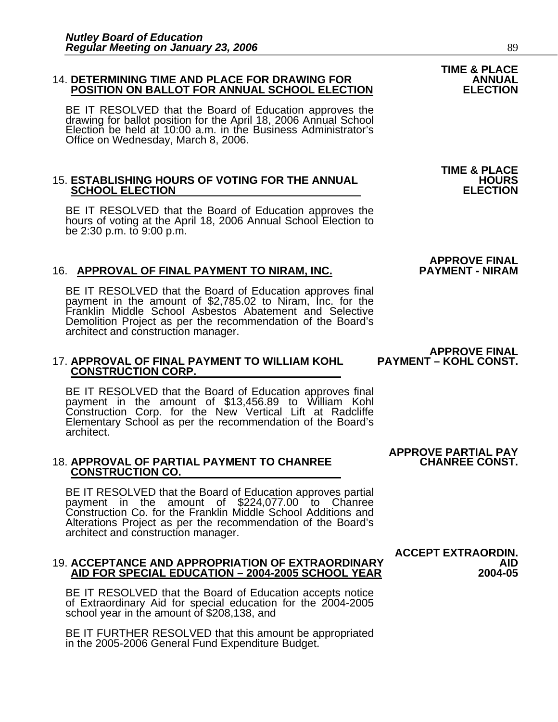#### 14. **DETERMINING TIME AND PLACE FOR DRAWING FOR ANNUAL POSITION ON BALLOT FOR ANNUAL SCHOOL ELECTION ELECTION**

BE IT RESOLVED that the Board of Education approves the drawing for ballot position for the April 18, 2006 Annual School Election be held at 10:00 a.m. in the Business Administrator's Office on Wednesday, March 8, 2006.

#### 15. **ESTABLISHING HOURS OF VOTING FOR THE ANNUAL HOURS SCHOOL ELECTION**

BE IT RESOLVED that the Board of Education approves the hours of voting at the April 18, 2006 Annual School Election to be 2:30 p.m. to 9:00 p.m.

#### 16. APPROVAL OF FINAL PAYMENT TO NIRAM, INC.

BE IT RESOLVED that the Board of Education approves final payment in the amount of \$2,785.02 to Niram, Inc. for the Franklin Middle School Asbestos Abatement and Selective Demolition Project as per the recommendation of the Board's architect and construction manager.

## **17. APPROVAL OF FINAL PAYMENT TO WILLIAM KOHL CONSTRUCTION CORP.**

BE IT RESOLVED that the Board of Education approves final payment in the amount of \$13,456.89 to William Kohl Construction Corp. for the New Vertical Lift at Radcliffe Elementary School as per the recommendation of the Board's architect.

## 18. APPROVAL OF PARTIAL PAYMENT TO CHANREE CONSTRUCTION CO.

BE IT RESOLVED that the Board of Education approves partial payment in the amount of \$224,077.00 to Chanree Construction Co. for the Franklin Middle School Additions and Alterations Project as per the recommendation of the Board's architect and construction manager.

### **ACCEPT EXTRAORDIN.**<br>19. ACCEPTANCE AND APPROPRIATION OF EXTRAORDINARY AID FOR SPECIAL EDUCATION – 2004-2005 SCHOOL YEAR 2004-05

BE IT RESOLVED that the Board of Education accepts notice of Extraordinary Aid for special education for the 2004-2005 school year in the amount of \$208,138, and

BE IT FURTHER RESOLVED that this amount be appropriated in the 2005-2006 General Fund Expenditure Budget.

## **APPROVE PARTIAL PAY**

**APPROVE FINAL<br>PAYMENT – KOHL CONST.** 

**TIME & PLACE** 

**APPROVE FINAL**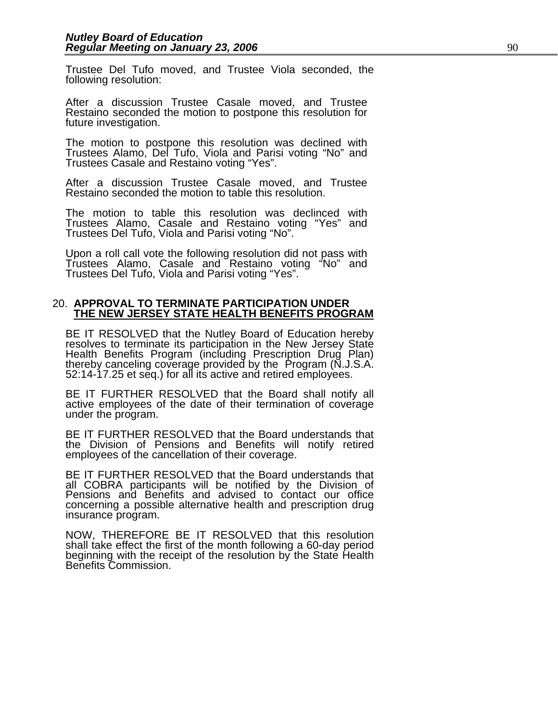Trustee Del Tufo moved, and Trustee Viola seconded, the following resolution:

After a discussion Trustee Casale moved, and Trustee Restaino seconded the motion to postpone this resolution for future investigation.

The motion to postpone this resolution was declined with Trustees Alamo, Del Tufo, Viola and Parisi voting "No" and Trustees Casale and Restaino voting "Yes".

After a discussion Trustee Casale moved, and Trustee Restaino seconded the motion to table this resolution.

The motion to table this resolution was declinced with Trustees Alamo, Casale and Restaino voting "Yes" and Trustees Del Tufo, Viola and Parisi voting "No".

Upon a roll call vote the following resolution did not pass with Trustees Alamo, Casale and <sup>~</sup>Restaino voting "No" and<br>Trustees Del Tufo, Viola and Parisi voting "Yes".

#### 20. **APPROVAL TO TERMINATE PARTICIPATION UNDER THE NEW JERSEY STATE HEALTH BENEFITS PROGRAM**

BE IT RESOLVED that the Nutley Board of Education hereby<br>resolves to terminate its participation in the New Jersey State<br>Health Benefits Program (including Prescription Drug Plan)<br>thereby canceling coverage provided by the

BE IT FURTHER RESOLVED that the Board shall notify all active employees of the date of their termination of coverage under the program.

BE IT FURTHER RESOLVED that the Board understands that the Division of Pensions and Benefits will notify retired employees of the cancellation of their coverage.

BE IT FURTHER RESOLVED that the Board understands that all COBRA participants will be notified by the Division of Pensions and Benefits and advised to contact our office concerning a possible alternative health and prescription drug insurance program.

NOW, THEREFORE BE IT RESOLVED that this resolution shall take effect the first of the month following a 60-day period beginning with the receipt of the resolution by the State Health Benefits Commission.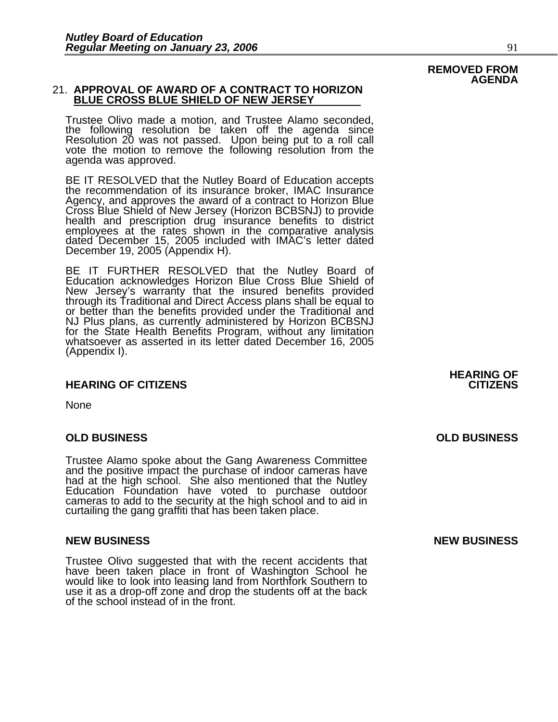#### 21. **APPROVAL OF AWARD OF A CONTRACT TO HORIZON BLUE CROSS BLUE SHIELD OF NEW JERSEY**

Trustee Olivo made a motion, and Trustee Alamo seconded, the following resolution be taken off the agenda since Resolution 20 was not passed. Upon being put to a roll call<br>vote the motion to remove the following resolution from the<br>agenda was approved.

BE IT RESOLVED that the Nutley Board of Education accepts the recommendation of its insurance broker, IMAC Insurance Agency, and approves the award of a contract to Horizon Blue<br>Cross Blue Shield of New Jersey (Horizon BCBSNJ) to provide health and prescription drug insurance benefits to district employees at the rates shown in the comparative analysis dated December 15, 2005 included with IMAC's letter dated December 19, 2005 (Appendix H).

BE IT FURTHER RESOLVED that the Nutley Board of Education acknowledges Horizon Blue Cross Blue Shield of New Jersey's warranty that the insured benefits provided through its Traditional and Direct Access plans shall be equal to or better than the benefits provided under the Traditional and NJ Plus plans, as currently administered by Horizon BCBSNJ for the State Health Benefits Program, without any limitation<br>whatsoever as asserted in its letter dated December 16, 2005 (Appendix I).

#### **HEARING OF CITIZENS CITIZENS**

None

#### **OLD BUSINESS OLD BUSINESS**

Trustee Alamo spoke about the Gang Awareness Committee and the positive impact the purchase of indoor cameras have had at the high school. She also mentioned that the Nutley<br>Education Foundation have voted to purchase outdoor<br>cameras to add to the security at the high school and to aid in<br>curtailing the gang graffiti that has been take

#### **NEW BUSINESS NEW BUSINESS**

Trustee Olivo suggested that with the recent accidents that have been taken place in front of Washington School he would like to look into leasing land from Northfork Southern to use it as a drop-off zone and drop the students off at the back<br>of the school instead of in the front. **HEARING OF** 

## **REMOVED FROM AGENDA**